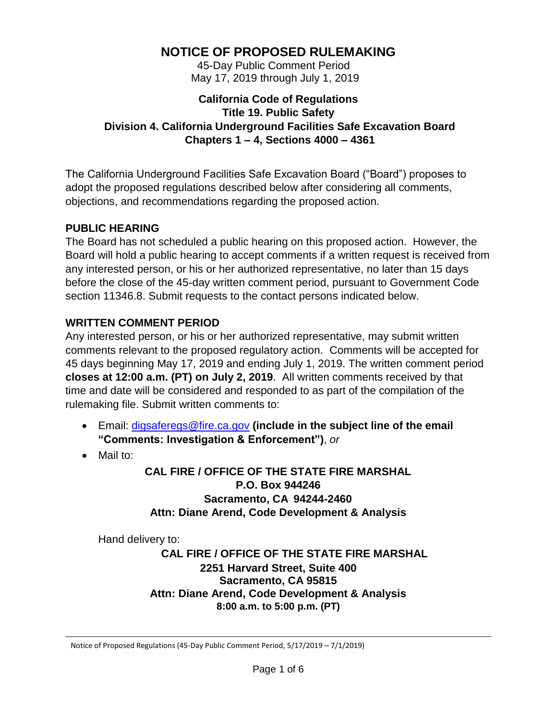# **NOTICE OF PROPOSED RULEMAKING**

 45-Day Public Comment Period May 17, 2019 through July 1, 2019

### **California Code of Regulations Title 19. Public Safety Division 4. California Underground Facilities Safe Excavation Board Chapters 1 – 4, Sections 4000 – 4361**

The California Underground Facilities Safe Excavation Board ("Board") proposes to adopt the proposed regulations described below after considering all comments, objections, and recommendations regarding the proposed action.

### **PUBLIC HEARING**

The Board has not scheduled a public hearing on this proposed action. However, the Board will hold a public hearing to accept comments if a written request is received from any interested person, or his or her authorized representative, no later than 15 days before the close of the 45-day written comment period, pursuant to Government Code section 11346.8. Submit requests to the contact persons indicated below.

# **WRITTEN COMMENT PERIOD**

Any interested person, or his or her authorized representative, may submit written comments relevant to the proposed regulatory action. Comments will be accepted for 45 days beginning May 17, 2019 and ending July 1, 2019. The written comment period **closes at 12:00 a.m. (PT) on July 2, 2019**. All written comments received by that time and date will be considered and responded to as part of the compilation of the rulemaking file. Submit written comments to:

- Email: [digsaferegs@fire.ca.gov](mailto:digsaferegs@fire.ca.gov) **(include in the subject line of the email "Comments: Investigation & Enforcement")**, *or*
- Mail to:

**CAL FIRE / OFFICE OF THE STATE FIRE MARSHAL P.O. Box 944246 Sacramento, CA 94244-2460 Attn: Diane Arend, Code Development & Analysis**

Hand delivery to:

**CAL FIRE / OFFICE OF THE STATE FIRE MARSHAL 2251 Harvard Street, Suite 400 Sacramento, CA 95815 Attn: Diane Arend, Code Development & Analysis 8:00 a.m. to 5:00 p.m. (PT)**

Notice of Proposed Regulations (45-Day Public Comment Period, 5/17/2019 – 7/1/2019)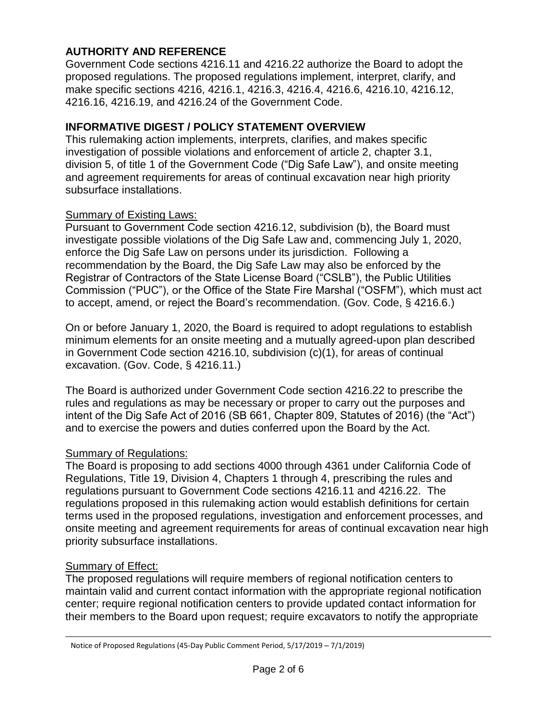# **AUTHORITY AND REFERENCE**

Government Code sections 4216.11 and 4216.22 authorize the Board to adopt the proposed regulations. The proposed regulations implement, interpret, clarify, and make specific sections 4216, 4216.1, 4216.3, 4216.4, 4216.6, 4216.10, 4216.12, 4216.16, 4216.19, and 4216.24 of the Government Code.

### **INFORMATIVE DIGEST / POLICY STATEMENT OVERVIEW**

This rulemaking action implements, interprets, clarifies, and makes specific investigation of possible violations and enforcement of article 2, chapter 3.1, division 5, of title 1 of the Government Code ("Dig Safe Law"), and onsite meeting and agreement requirements for areas of continual excavation near high priority subsurface installations.

#### **Summary of Existing Laws:**

Pursuant to Government Code section 4216.12, subdivision (b), the Board must investigate possible violations of the Dig Safe Law and, commencing July 1, 2020, enforce the Dig Safe Law on persons under its jurisdiction. Following a recommendation by the Board, the Dig Safe Law may also be enforced by the Registrar of Contractors of the State License Board ("CSLB"), the Public Utilities Commission ("PUC"), or the Office of the State Fire Marshal ("OSFM"), which must act to accept, amend, or reject the Board's recommendation. (Gov. Code, § 4216.6.)

On or before January 1, 2020, the Board is required to adopt regulations to establish minimum elements for an onsite meeting and a mutually agreed-upon plan described in Government Code section 4216.10, subdivision (c)(1), for areas of continual excavation. (Gov. Code, § 4216.11.)

The Board is authorized under Government Code section 4216.22 to prescribe the rules and regulations as may be necessary or proper to carry out the purposes and intent of the Dig Safe Act of 2016 (SB 661, Chapter 809, Statutes of 2016) (the "Act") and to exercise the powers and duties conferred upon the Board by the Act.

# **Summary of Regulations:**

The Board is proposing to add sections 4000 through 4361 under California Code of Regulations, Title 19, Division 4, Chapters 1 through 4, prescribing the rules and regulations pursuant to Government Code sections 4216.11 and 4216.22. The regulations proposed in this rulemaking action would establish definitions for certain terms used in the proposed regulations, investigation and enforcement processes, and onsite meeting and agreement requirements for areas of continual excavation near high priority subsurface installations.

# **Summary of Effect:**

The proposed regulations will require members of regional notification centers to maintain valid and current contact information with the appropriate regional notification center; require regional notification centers to provide updated contact information for their members to the Board upon request; require excavators to notify the appropriate

Notice of Proposed Regulations (45-Day Public Comment Period, 5/17/2019 – 7/1/2019)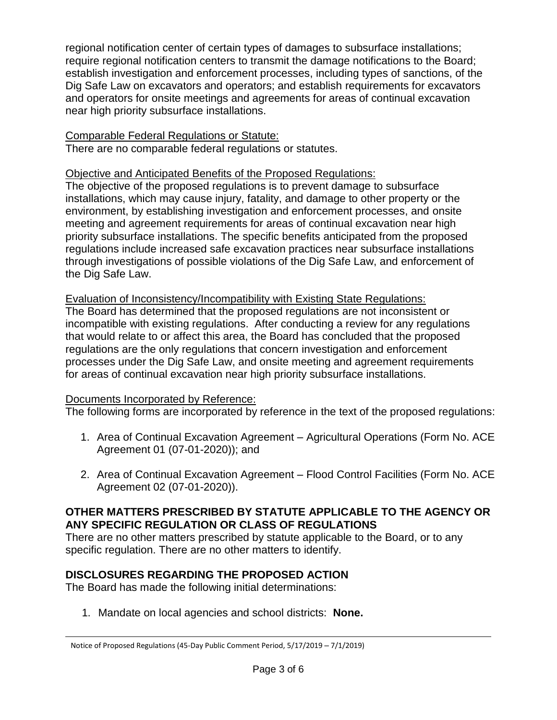regional notification center of certain types of damages to subsurface installations; require regional notification centers to transmit the damage notifications to the Board; establish investigation and enforcement processes, including types of sanctions, of the Dig Safe Law on excavators and operators; and establish requirements for excavators and operators for onsite meetings and agreements for areas of continual excavation near high priority subsurface installations.

#### Comparable Federal Regulations or Statute:

There are no comparable federal regulations or statutes.

# Objective and Anticipated Benefits of the Proposed Regulations:

The objective of the proposed regulations is to prevent damage to subsurface installations, which may cause injury, fatality, and damage to other property or the environment, by establishing investigation and enforcement processes, and onsite meeting and agreement requirements for areas of continual excavation near high priority subsurface installations. The specific benefits anticipated from the proposed regulations include increased safe excavation practices near subsurface installations through investigations of possible violations of the Dig Safe Law, and enforcement of the Dig Safe Law.

Evaluation of Inconsistency/Incompatibility with Existing State Regulations:

The Board has determined that the proposed regulations are not inconsistent or incompatible with existing regulations. After conducting a review for any regulations that would relate to or affect this area, the Board has concluded that the proposed regulations are the only regulations that concern investigation and enforcement processes under the Dig Safe Law, and onsite meeting and agreement requirements for areas of continual excavation near high priority subsurface installations.

# Documents Incorporated by Reference:

The following forms are incorporated by reference in the text of the proposed regulations:

- 1. Area of Continual Excavation Agreement Agricultural Operations (Form No. ACE Agreement 01 (07-01-2020)); and
- 2. Area of Continual Excavation Agreement Flood Control Facilities (Form No. ACE Agreement 02 (07-01-2020)).

### **OTHER MATTERS PRESCRIBED BY STATUTE APPLICABLE TO THE AGENCY OR ANY SPECIFIC REGULATION OR CLASS OF REGULATIONS**

There are no other matters prescribed by statute applicable to the Board, or to any specific regulation. There are no other matters to identify.

# **DISCLOSURES REGARDING THE PROPOSED ACTION**

The Board has made the following initial determinations:

1. Mandate on local agencies and school districts: **None.**

Notice of Proposed Regulations (45-Day Public Comment Period, 5/17/2019 – 7/1/2019)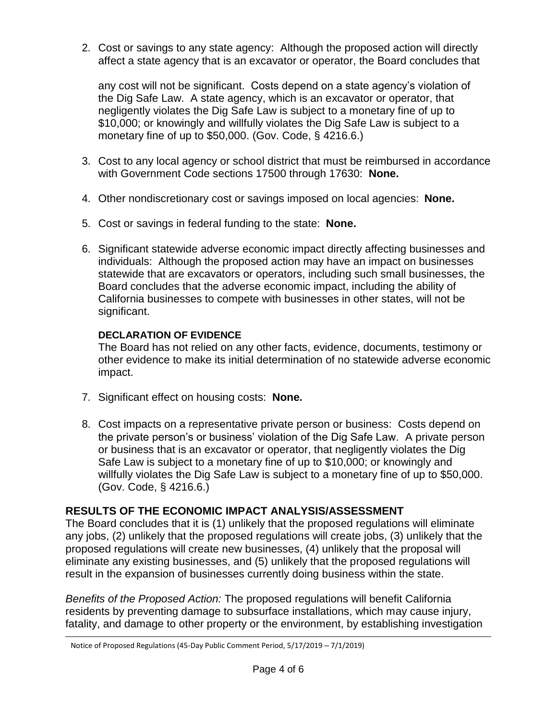2. Cost or savings to any state agency: Although the proposed action will directly affect a state agency that is an excavator or operator, the Board concludes that

any cost will not be significant. Costs depend on a state agency's violation of the Dig Safe Law. A state agency, which is an excavator or operator, that negligently violates the Dig Safe Law is subject to a monetary fine of up to \$10,000; or knowingly and willfully violates the Dig Safe Law is subject to a monetary fine of up to \$50,000. (Gov. Code, § 4216.6.)

- 3. Cost to any local agency or school district that must be reimbursed in accordance with Government Code sections 17500 through 17630: **None.**
- 4. Other nondiscretionary cost or savings imposed on local agencies: **None.**
- 5. Cost or savings in federal funding to the state: **None.**
- 6. Significant statewide adverse economic impact directly affecting businesses and individuals: Although the proposed action may have an impact on businesses statewide that are excavators or operators, including such small businesses, the Board concludes that the adverse economic impact, including the ability of California businesses to compete with businesses in other states, will not be significant.

### **DECLARATION OF EVIDENCE**

The Board has not relied on any other facts, evidence, documents, testimony or other evidence to make its initial determination of no statewide adverse economic impact.

- 7. Significant effect on housing costs: **None.**
- 8. Cost impacts on a representative private person or business: Costs depend on the private person's or business' violation of the Dig Safe Law. A private person or business that is an excavator or operator, that negligently violates the Dig Safe Law is subject to a monetary fine of up to \$10,000; or knowingly and willfully violates the Dig Safe Law is subject to a monetary fine of up to \$50,000. (Gov. Code, § 4216.6.)

# **RESULTS OF THE ECONOMIC IMPACT ANALYSIS/ASSESSMENT**

The Board concludes that it is (1) unlikely that the proposed regulations will eliminate any jobs, (2) unlikely that the proposed regulations will create jobs, (3) unlikely that the proposed regulations will create new businesses, (4) unlikely that the proposal will eliminate any existing businesses, and (5) unlikely that the proposed regulations will result in the expansion of businesses currently doing business within the state.

*Benefits of the Proposed Action:* The proposed regulations will benefit California residents by preventing damage to subsurface installations, which may cause injury, fatality, and damage to other property or the environment, by establishing investigation

Notice of Proposed Regulations (45-Day Public Comment Period, 5/17/2019 – 7/1/2019)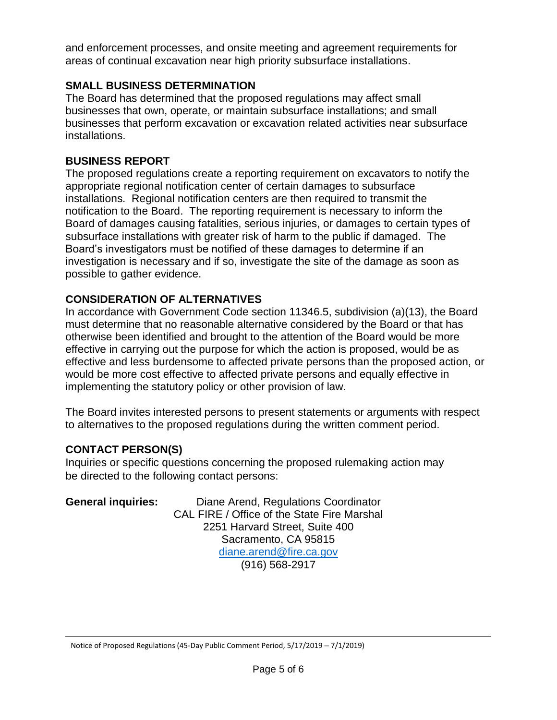and enforcement processes, and onsite meeting and agreement requirements for areas of continual excavation near high priority subsurface installations.

### **SMALL BUSINESS DETERMINATION**

The Board has determined that the proposed regulations may affect small businesses that own, operate, or maintain subsurface installations; and small businesses that perform excavation or excavation related activities near subsurface installations.

### **BUSINESS REPORT**

The proposed regulations create a reporting requirement on excavators to notify the appropriate regional notification center of certain damages to subsurface installations. Regional notification centers are then required to transmit the notification to the Board. The reporting requirement is necessary to inform the Board of damages causing fatalities, serious injuries, or damages to certain types of subsurface installations with greater risk of harm to the public if damaged. The Board's investigators must be notified of these damages to determine if an investigation is necessary and if so, investigate the site of the damage as soon as possible to gather evidence.

# **CONSIDERATION OF ALTERNATIVES**

In accordance with Government Code section 11346.5, subdivision (a)(13), the Board must determine that no reasonable alternative considered by the Board or that has otherwise been identified and brought to the attention of the Board would be more effective in carrying out the purpose for which the action is proposed, would be as effective and less burdensome to affected private persons than the proposed action, or would be more cost effective to affected private persons and equally effective in implementing the statutory policy or other provision of law.

The Board invites interested persons to present statements or arguments with respect to alternatives to the proposed regulations during the written comment period.

# **CONTACT PERSON(S)**

Inquiries or specific questions concerning the proposed rulemaking action may be directed to the following contact persons:

| <b>General inquiries:</b> | Diane Arend, Regulations Coordinator        |
|---------------------------|---------------------------------------------|
|                           | CAL FIRE / Office of the State Fire Marshal |
|                           | 2251 Harvard Street, Suite 400              |
|                           | Sacramento, CA 95815                        |
|                           | diane.arend@fire.ca.gov                     |
|                           | $(916) 568 - 2917$                          |

Notice of Proposed Regulations (45-Day Public Comment Period, 5/17/2019 – 7/1/2019)